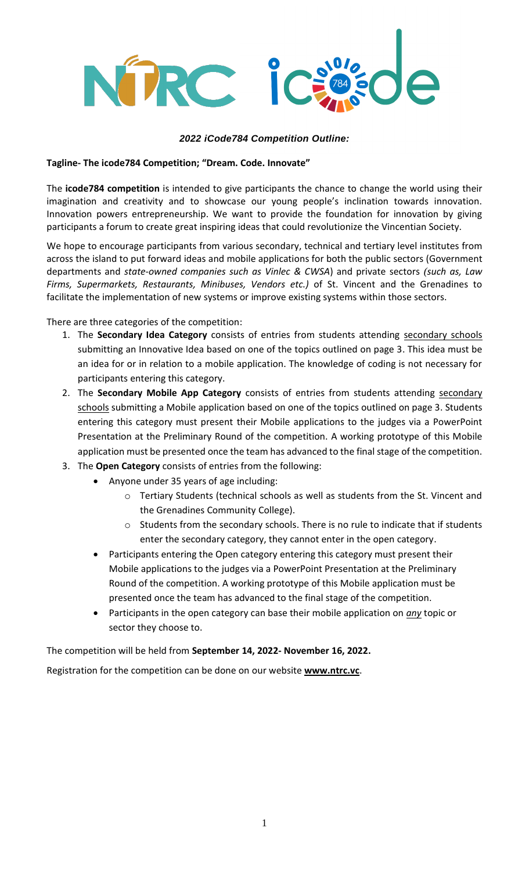

## *2022 iCode784 Competition Outline:*

#### **Tagline- The icode784 Competition; "Dream. Code. Innovate"**

The **icode784 competition** is intended to give participants the chance to change the world using their imagination and creativity and to showcase our young people's inclination towards innovation. Innovation powers entrepreneurship. We want to provide the foundation for innovation by giving participants a forum to create great inspiring ideas that could revolutionize the Vincentian Society.

We hope to encourage participants from various secondary, technical and tertiary level institutes from across the island to put forward ideas and mobile applications for both the public sectors (Government departments and *state-owned companies such as Vinlec & CWSA*) and private sectors *(such as, Law Firms, Supermarkets, Restaurants, Minibuses, Vendors etc.)* of St. Vincent and the Grenadines to facilitate the implementation of new systems or improve existing systems within those sectors.

There are three categories of the competition:

- 1. The **Secondary Idea Category** consists of entries from students attending secondary schools submitting an Innovative Idea based on one of the topics outlined on page 3. This idea must be an idea for or in relation to a mobile application. The knowledge of coding is not necessary for participants entering this category.
- 2. The **Secondary Mobile App Category** consists of entries from students attending secondary schools submitting a Mobile application based on one of the topics outlined on page 3. Students entering this category must present their Mobile applications to the judges via a PowerPoint Presentation at the Preliminary Round of the competition. A working prototype of this Mobile application must be presented once the team has advanced to the final stage of the competition.
- 3. The **Open Category** consists of entries from the following:
	- Anyone under 35 years of age including:
		- o Tertiary Students (technical schools as well as students from the St. Vincent and the Grenadines Community College).
		- o Students from the secondary schools. There is no rule to indicate that if students enter the secondary category, they cannot enter in the open category.
	- Participants entering the Open category entering this category must present their Mobile applications to the judges via a PowerPoint Presentation at the Preliminary Round of the competition. A working prototype of this Mobile application must be presented once the team has advanced to the final stage of the competition.
	- Participants in the open category can base their mobile application on *any* topic or sector they choose to.

The competition will be held from **September 14, 2022- November 16, 2022.**

Registration for the competition can be done on our website **[www.ntrc.vc](http://www.ntrc.vc/)**.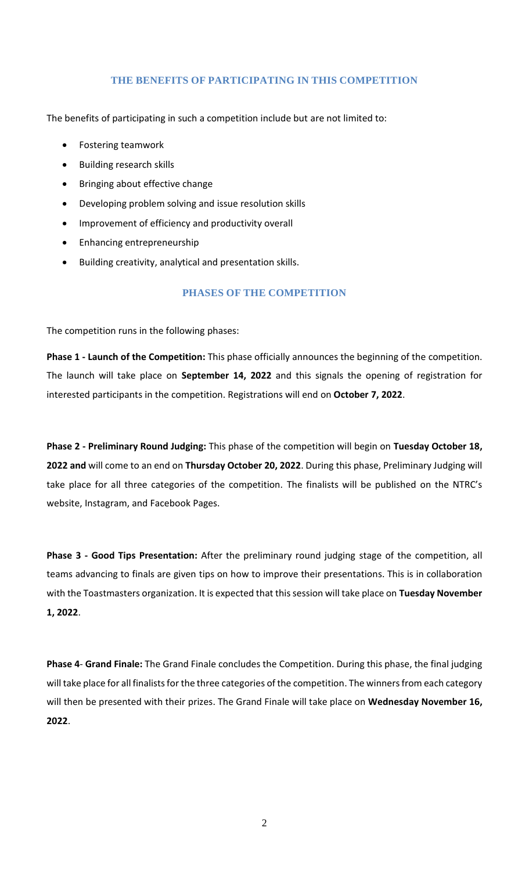# **THE BENEFITS OF PARTICIPATING IN THIS COMPETITION**

The benefits of participating in such a competition include but are not limited to:

- Fostering teamwork
- Building research skills
- Bringing about effective change
- Developing problem solving and issue resolution skills
- Improvement of efficiency and productivity overall
- Enhancing entrepreneurship
- Building creativity, analytical and presentation skills.

## **PHASES OF THE COMPETITION**

The competition runs in the following phases:

**Phase 1 - Launch of the Competition:** This phase officially announces the beginning of the competition. The launch will take place on **September 14, 2022** and this signals the opening of registration for interested participants in the competition. Registrations will end on **October 7, 2022**.

**Phase 2 - Preliminary Round Judging:** This phase of the competition will begin on **Tuesday October 18, 2022 and** will come to an end on **Thursday October 20, 2022**. During this phase, Preliminary Judging will take place for all three categories of the competition. The finalists will be published on the NTRC's website, Instagram, and Facebook Pages.

**Phase 3 - Good Tips Presentation:** After the preliminary round judging stage of the competition, all teams advancing to finals are given tips on how to improve their presentations. This is in collaboration with the Toastmasters organization. It is expected that this session will take place on **Tuesday November 1, 2022**.

**Phase 4**- **Grand Finale:** The Grand Finale concludes the Competition. During this phase, the final judging will take place for all finalists for the three categories of the competition. The winners from each category will then be presented with their prizes. The Grand Finale will take place on **Wednesday November 16, 2022**.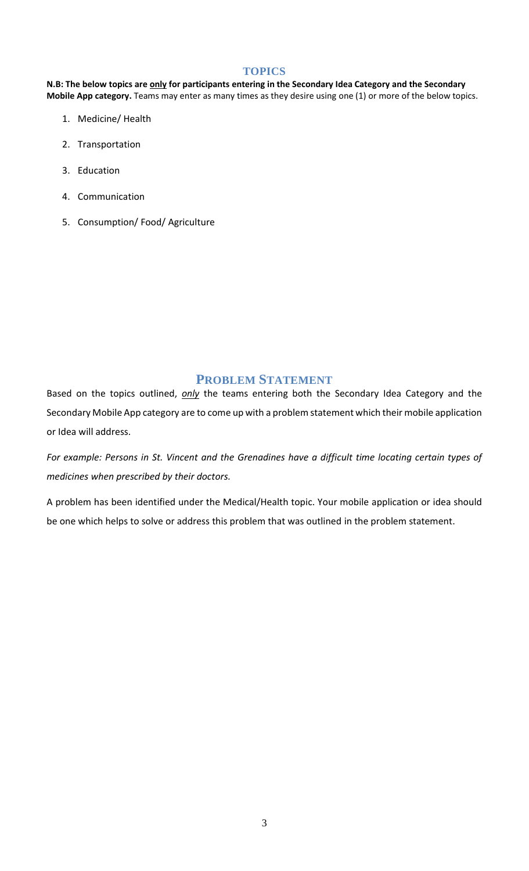#### **TOPICS**

**N.B: The below topics are only for participants entering in the Secondary Idea Category and the Secondary Mobile App category.** Teams may enter as many times as they desire using one (1) or more of the below topics.

- 1. Medicine/ Health
- 2. Transportation
- 3. Education
- 4. Communication
- 5. Consumption/ Food/ Agriculture

# **PROBLEM STATEMENT**

Based on the topics outlined, *only* the teams entering both the Secondary Idea Category and the Secondary Mobile App category are to come up with a problem statement which their mobile application or Idea will address.

*For example: Persons in St. Vincent and the Grenadines have a difficult time locating certain types of medicines when prescribed by their doctors.*

A problem has been identified under the Medical/Health topic. Your mobile application or idea should be one which helps to solve or address this problem that was outlined in the problem statement.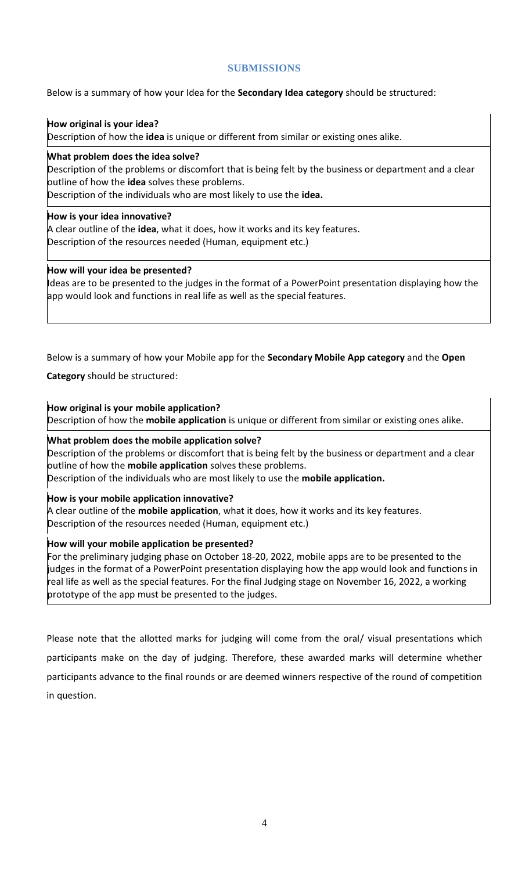# **SUBMISSIONS**

# Below is a summary of how your Idea for the **Secondary Idea category** should be structured:

## **How original is your idea?**

Description of how the **idea** is unique or different from similar or existing ones alike.

#### **What problem does the idea solve?**

Description of the problems or discomfort that is being felt by the business or department and a clear outline of how the **idea** solves these problems.

Description of the individuals who are most likely to use the **idea.**

## **How is your idea innovative?**

A clear outline of the **idea**, what it does, how it works and its key features. Description of the resources needed (Human, equipment etc.)

## **How will your idea be presented?**

Ideas are to be presented to the judges in the format of a PowerPoint presentation displaying how the app would look and functions in real life as well as the special features.

# Below is a summary of how your Mobile app for the **Secondary Mobile App category** and the **Open**

## **Category** should be structured:

## **How original is your mobile application?**

Description of how the **mobile application** is unique or different from similar or existing ones alike.

#### **What problem does the mobile application solve?**

Description of the problems or discomfort that is being felt by the business or department and a clear outline of how the **mobile application** solves these problems. Description of the individuals who are most likely to use the **mobile application.**

# **How is your mobile application innovative?**

A clear outline of the **mobile application**, what it does, how it works and its key features. Description of the resources needed (Human, equipment etc.)

# **How will your mobile application be presented?**

For the preliminary judging phase on October 18-20, 2022, mobile apps are to be presented to the judges in the format of a PowerPoint presentation displaying how the app would look and functions in real life as well as the special features. For the final Judging stage on November 16, 2022, a working prototype of the app must be presented to the judges.

Please note that the allotted marks for judging will come from the oral/ visual presentations which participants make on the day of judging. Therefore, these awarded marks will determine whether participants advance to the final rounds or are deemed winners respective of the round of competition in question.